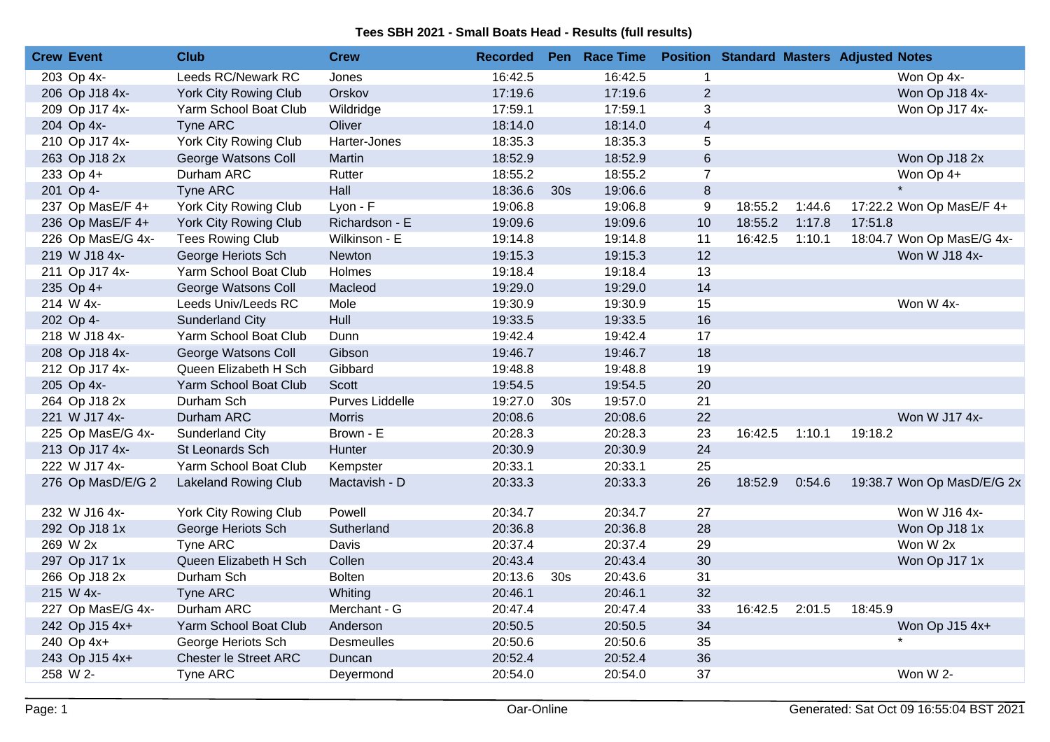| <b>Crew Event</b> | <b>Club</b>                  | <b>Crew</b>       | <b>Recorded</b> |                 | Pen Race Time |                |         |        | <b>Position Standard Masters Adjusted Notes</b> |
|-------------------|------------------------------|-------------------|-----------------|-----------------|---------------|----------------|---------|--------|-------------------------------------------------|
| 203 Op 4x-        | Leeds RC/Newark RC           | Jones             | 16:42.5         |                 | 16:42.5       | 1              |         |        | Won Op 4x-                                      |
| 206 Op J18 4x-    | <b>York City Rowing Club</b> | Orskov            | 17:19.6         |                 | 17:19.6       | $\overline{2}$ |         |        | Won Op J18 4x-                                  |
| 209 Op J17 4x-    | Yarm School Boat Club        | Wildridge         | 17:59.1         |                 | 17:59.1       | 3              |         |        | Won Op J17 4x-                                  |
| 204 Op 4x-        | Tyne ARC                     | Oliver            | 18:14.0         |                 | 18:14.0       | $\overline{4}$ |         |        |                                                 |
| 210 Op J17 4x-    | York City Rowing Club        | Harter-Jones      | 18:35.3         |                 | 18:35.3       | 5              |         |        |                                                 |
| 263 Op J18 2x     | George Watsons Coll          | Martin            | 18:52.9         |                 | 18:52.9       | $6\,$          |         |        | Won Op J18 2x                                   |
| 233 Op 4+         | Durham ARC                   | Rutter            | 18:55.2         |                 | 18:55.2       | $\overline{7}$ |         |        | Won Op 4+                                       |
| 201 Op 4-         | <b>Tyne ARC</b>              | Hall              | 18:36.6         | 30 <sub>s</sub> | 19:06.6       | $\bf 8$        |         |        |                                                 |
| 237 Op MasE/F 4+  | York City Rowing Club        | Lyon - F          | 19:06.8         |                 | 19:06.8       | 9              | 18:55.2 | 1:44.6 | 17:22.2 Won Op MasE/F 4+                        |
| 236 Op MasE/F 4+  | York City Rowing Club        | Richardson - E    | 19:09.6         |                 | 19:09.6       | 10             | 18:55.2 | 1:17.8 | 17:51.8                                         |
| 226 Op MasE/G 4x- | <b>Tees Rowing Club</b>      | Wilkinson - E     | 19:14.8         |                 | 19:14.8       | 11             | 16:42.5 | 1:10.1 | 18:04.7 Won Op MasE/G 4x-                       |
| 219 W J18 4x-     | George Heriots Sch           | Newton            | 19:15.3         |                 | 19:15.3       | 12             |         |        | Won W J18 4x-                                   |
| 211 Op J17 4x-    | Yarm School Boat Club        | Holmes            | 19:18.4         |                 | 19:18.4       | 13             |         |        |                                                 |
| 235 Op 4+         | George Watsons Coll          | Macleod           | 19:29.0         |                 | 19:29.0       | 14             |         |        |                                                 |
| 214 W 4x-         | Leeds Univ/Leeds RC          | Mole              | 19:30.9         |                 | 19:30.9       | 15             |         |        | Won W 4x-                                       |
| 202 Op 4-         | <b>Sunderland City</b>       | Hull              | 19:33.5         |                 | 19:33.5       | 16             |         |        |                                                 |
| 218 W J18 4x-     | Yarm School Boat Club        | Dunn              | 19:42.4         |                 | 19:42.4       | 17             |         |        |                                                 |
| 208 Op J18 4x-    | George Watsons Coll          | Gibson            | 19:46.7         |                 | 19:46.7       | 18             |         |        |                                                 |
| 212 Op J17 4x-    | Queen Elizabeth H Sch        | Gibbard           | 19:48.8         |                 | 19:48.8       | 19             |         |        |                                                 |
| 205 Op 4x-        | Yarm School Boat Club        | <b>Scott</b>      | 19:54.5         |                 | 19:54.5       | 20             |         |        |                                                 |
| 264 Op J18 2x     | Durham Sch                   | Purves Liddelle   | 19:27.0         | 30 <sub>s</sub> | 19:57.0       | 21             |         |        |                                                 |
| 221 W J17 4x-     | Durham ARC                   | <b>Morris</b>     | 20:08.6         |                 | 20:08.6       | 22             |         |        | Won W J17 4x-                                   |
| 225 Op MasE/G 4x- | Sunderland City              | Brown - E         | 20:28.3         |                 | 20:28.3       | 23             | 16:42.5 | 1:10.1 | 19:18.2                                         |
| 213 Op J17 4x-    | St Leonards Sch              | Hunter            | 20:30.9         |                 | 20:30.9       | 24             |         |        |                                                 |
| 222 W J17 4x-     | Yarm School Boat Club        | Kempster          | 20:33.1         |                 | 20:33.1       | 25             |         |        |                                                 |
| 276 Op MasD/E/G 2 | <b>Lakeland Rowing Club</b>  | Mactavish - D     | 20:33.3         |                 | 20:33.3       | 26             | 18:52.9 | 0:54.6 | 19:38.7 Won Op MasD/E/G 2x                      |
| 232 W J16 4x-     | York City Rowing Club        | Powell            | 20:34.7         |                 | 20:34.7       | 27             |         |        | Won W J16 4x-                                   |
| 292 Op J18 1x     | George Heriots Sch           | Sutherland        | 20:36.8         |                 | 20:36.8       | 28             |         |        | Won Op J18 1x                                   |
| 269 W 2x          | Tyne ARC                     | Davis             | 20:37.4         |                 | 20:37.4       | 29             |         |        | Won W 2x                                        |
| 297 Op J17 1x     | Queen Elizabeth H Sch        | Collen            | 20:43.4         |                 | 20:43.4       | 30             |         |        | Won Op J17 1x                                   |
| 266 Op J18 2x     | Durham Sch                   | <b>Bolten</b>     | 20:13.6         | 30 <sub>s</sub> | 20:43.6       | 31             |         |        |                                                 |
| 215 W 4x-         | Tyne ARC                     | Whiting           | 20:46.1         |                 | 20:46.1       | 32             |         |        |                                                 |
| 227 Op MasE/G 4x- | Durham ARC                   | Merchant - G      | 20:47.4         |                 | 20:47.4       | 33             | 16:42.5 | 2:01.5 | 18:45.9                                         |
| 242 Op J15 4x+    | Yarm School Boat Club        | Anderson          | 20:50.5         |                 | 20:50.5       | 34             |         |        | Won Op J15 4x+                                  |
| 240 Op 4x+        | George Heriots Sch           | <b>Desmeulles</b> | 20:50.6         |                 | 20:50.6       | 35             |         |        |                                                 |
| 243 Op J15 4x+    | <b>Chester le Street ARC</b> | Duncan            | 20:52.4         |                 | 20:52.4       | 36             |         |        |                                                 |
| 258 W 2-          | Tyne ARC                     | Deyermond         | 20:54.0         |                 | 20:54.0       | 37             |         |        | Won W 2-                                        |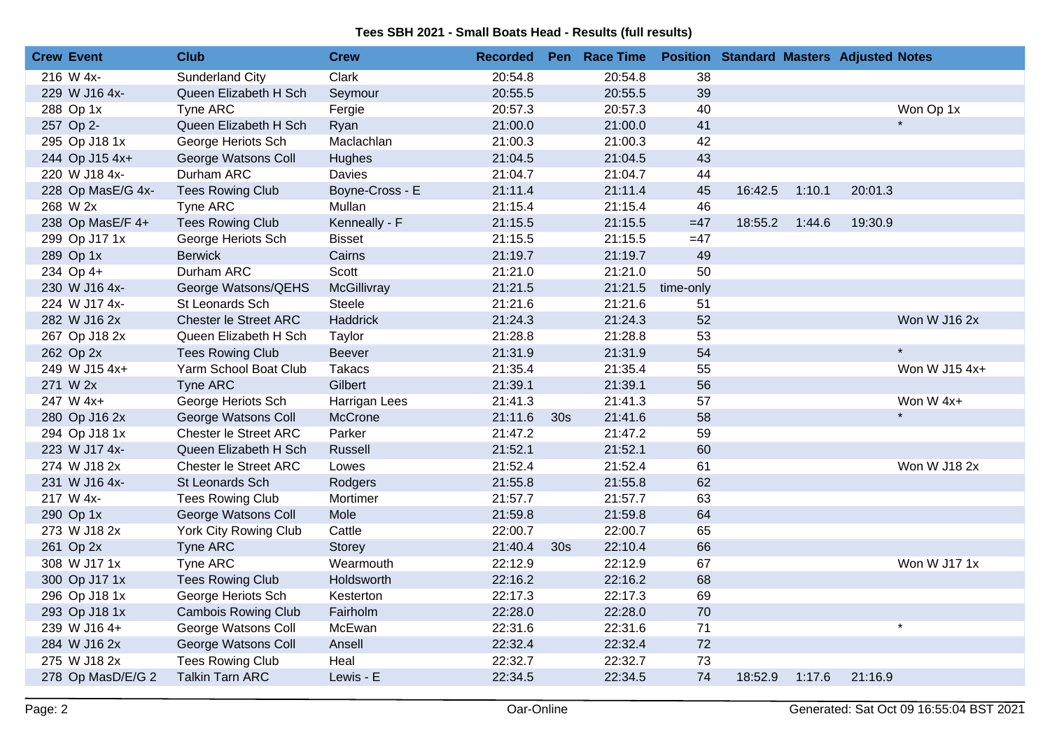| <b>Crew Event</b> | <b>Club</b>                  | <b>Crew</b>     | <b>Recorded</b> |                 | Pen Race Time |           |         |        | <b>Position Standard Masters Adjusted Notes</b> |
|-------------------|------------------------------|-----------------|-----------------|-----------------|---------------|-----------|---------|--------|-------------------------------------------------|
| 216 W 4x-         | <b>Sunderland City</b>       | Clark           | 20:54.8         |                 | 20:54.8       | 38        |         |        |                                                 |
| 229 W J16 4x-     | Queen Elizabeth H Sch        | Seymour         | 20:55.5         |                 | 20:55.5       | 39        |         |        |                                                 |
| 288 Op 1x         | Tyne ARC                     | Fergie          | 20:57.3         |                 | 20:57.3       | 40        |         |        | Won Op 1x                                       |
| 257 Op 2-         | Queen Elizabeth H Sch        | Ryan            | 21:00.0         |                 | 21:00.0       | 41        |         |        |                                                 |
| 295 Op J18 1x     | George Heriots Sch           | Maclachlan      | 21:00.3         |                 | 21:00.3       | 42        |         |        |                                                 |
| 244 Op J15 4x+    | George Watsons Coll          | Hughes          | 21:04.5         |                 | 21:04.5       | 43        |         |        |                                                 |
| 220 W J18 4x-     | Durham ARC                   | Davies          | 21:04.7         |                 | 21:04.7       | 44        |         |        |                                                 |
| 228 Op MasE/G 4x- | <b>Tees Rowing Club</b>      | Boyne-Cross - E | 21:11.4         |                 | 21:11.4       | 45        | 16:42.5 | 1:10.1 | 20:01.3                                         |
| 268 W 2x          | Tyne ARC                     | Mullan          | 21:15.4         |                 | 21:15.4       | 46        |         |        |                                                 |
| 238 Op MasE/F 4+  | <b>Tees Rowing Club</b>      | Kenneally - F   | 21:15.5         |                 | 21:15.5       | $=47$     | 18:55.2 | 1:44.6 | 19:30.9                                         |
| 299 Op J17 1x     | George Heriots Sch           | <b>Bisset</b>   | 21:15.5         |                 | 21:15.5       | $=47$     |         |        |                                                 |
| 289 Op 1x         | <b>Berwick</b>               | Cairns          | 21:19.7         |                 | 21:19.7       | 49        |         |        |                                                 |
| 234 Op 4+         | Durham ARC                   | Scott           | 21:21.0         |                 | 21:21.0       | 50        |         |        |                                                 |
| 230 W J16 4x-     | George Watsons/QEHS          | McGillivray     | 21:21.5         |                 | 21:21.5       | time-only |         |        |                                                 |
| 224 W J17 4x-     | St Leonards Sch              | <b>Steele</b>   | 21:21.6         |                 | 21:21.6       | 51        |         |        |                                                 |
| 282 W J16 2x      | <b>Chester le Street ARC</b> | Haddrick        | 21:24.3         |                 | 21:24.3       | 52        |         |        | Won W J16 2x                                    |
| 267 Op J18 2x     | Queen Elizabeth H Sch        | Taylor          | 21:28.8         |                 | 21:28.8       | 53        |         |        |                                                 |
| 262 Op 2x         | <b>Tees Rowing Club</b>      | <b>Beever</b>   | 21:31.9         |                 | 21:31.9       | 54        |         |        | $\star$                                         |
| 249 W J15 4x+     | Yarm School Boat Club        | <b>Takacs</b>   | 21:35.4         |                 | 21:35.4       | 55        |         |        | Won W J15 4x+                                   |
| 271 W 2x          | Tyne ARC                     | Gilbert         | 21:39.1         |                 | 21:39.1       | 56        |         |        |                                                 |
| 247 W 4x+         | George Heriots Sch           | Harrigan Lees   | 21:41.3         |                 | 21:41.3       | 57        |         |        | Won W 4x+                                       |
| 280 Op J16 2x     | George Watsons Coll          | McCrone         | 21:11.6         | 30s             | 21:41.6       | 58        |         |        |                                                 |
| 294 Op J18 1x     | <b>Chester le Street ARC</b> | Parker          | 21:47.2         |                 | 21:47.2       | 59        |         |        |                                                 |
| 223 W J17 4x-     | Queen Elizabeth H Sch        | Russell         | 21:52.1         |                 | 21:52.1       | 60        |         |        |                                                 |
| 274 W J18 2x      | <b>Chester le Street ARC</b> | Lowes           | 21:52.4         |                 | 21:52.4       | 61        |         |        | Won W J18 2x                                    |
| 231 W J16 4x-     | St Leonards Sch              | Rodgers         | 21:55.8         |                 | 21:55.8       | 62        |         |        |                                                 |
| 217 W 4x-         | <b>Tees Rowing Club</b>      | Mortimer        | 21:57.7         |                 | 21:57.7       | 63        |         |        |                                                 |
| 290 Op 1x         | George Watsons Coll          | Mole            | 21:59.8         |                 | 21:59.8       | 64        |         |        |                                                 |
| 273 W J18 2x      | York City Rowing Club        | Cattle          | 22:00.7         |                 | 22:00.7       | 65        |         |        |                                                 |
| 261 Op 2x         | Tyne ARC                     | Storey          | 21:40.4         | 30 <sub>s</sub> | 22:10.4       | 66        |         |        |                                                 |
| 308 W J17 1x      | Tyne ARC                     | Wearmouth       | 22:12.9         |                 | 22:12.9       | 67        |         |        | Won W J17 1x                                    |
| 300 Op J17 1x     | <b>Tees Rowing Club</b>      | Holdsworth      | 22:16.2         |                 | 22:16.2       | 68        |         |        |                                                 |
| 296 Op J18 1x     | George Heriots Sch           | Kesterton       | 22:17.3         |                 | 22:17.3       | 69        |         |        |                                                 |
| 293 Op J18 1x     | <b>Cambois Rowing Club</b>   | Fairholm        | 22:28.0         |                 | 22:28.0       | 70        |         |        |                                                 |
| 239 W J16 4+      | George Watsons Coll          | McEwan          | 22:31.6         |                 | 22:31.6       | 71        |         |        | $\star$                                         |
| 284 W J16 2x      | George Watsons Coll          | Ansell          | 22:32.4         |                 | 22:32.4       | 72        |         |        |                                                 |
| 275 W J18 2x      | <b>Tees Rowing Club</b>      | Heal            | 22:32.7         |                 | 22:32.7       | 73        |         |        |                                                 |
| 278 Op MasD/E/G 2 | <b>Talkin Tarn ARC</b>       | Lewis - E       | 22:34.5         |                 | 22:34.5       | 74        | 18:52.9 | 1:17.6 | 21:16.9                                         |
|                   |                              |                 |                 |                 |               |           |         |        |                                                 |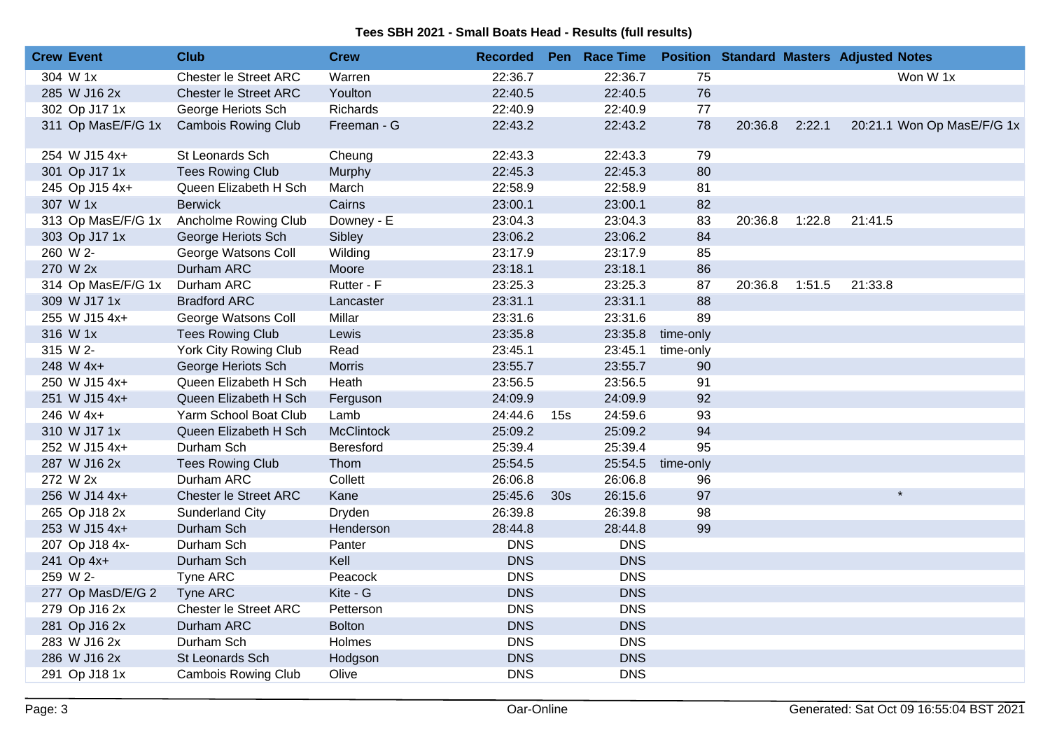| <b>Crew Event</b> |                    | Club                         | <b>Crew</b>   | <b>Recorded</b> |                 | Pen Race Time |           |         |        | <b>Position Standard Masters Adjusted Notes</b> |
|-------------------|--------------------|------------------------------|---------------|-----------------|-----------------|---------------|-----------|---------|--------|-------------------------------------------------|
| 304 W 1x          |                    | <b>Chester le Street ARC</b> | Warren        | 22:36.7         |                 | 22:36.7       | 75        |         |        | Won W 1x                                        |
|                   | 285 W J16 2x       | <b>Chester le Street ARC</b> | Youlton       | 22:40.5         |                 | 22:40.5       | 76        |         |        |                                                 |
|                   | 302 Op J17 1x      | George Heriots Sch           | Richards      | 22:40.9         |                 | 22:40.9       | 77        |         |        |                                                 |
|                   | 311 Op MasE/F/G 1x | <b>Cambois Rowing Club</b>   | Freeman - G   | 22:43.2         |                 | 22:43.2       | 78        | 20:36.8 | 2:22.1 | 20:21.1 Won Op MasE/F/G 1x                      |
|                   | 254 W J15 4x+      | St Leonards Sch              | Cheung        | 22:43.3         |                 | 22:43.3       | 79        |         |        |                                                 |
|                   | 301 Op J17 1x      | <b>Tees Rowing Club</b>      | Murphy        | 22:45.3         |                 | 22:45.3       | 80        |         |        |                                                 |
|                   | 245 Op J15 4x+     | Queen Elizabeth H Sch        | March         | 22:58.9         |                 | 22:58.9       | 81        |         |        |                                                 |
| 307 W 1x          |                    | <b>Berwick</b>               | Cairns        | 23:00.1         |                 | 23:00.1       | 82        |         |        |                                                 |
|                   | 313 Op MasE/F/G 1x | Ancholme Rowing Club         | Downey - E    | 23:04.3         |                 | 23:04.3       | 83        | 20:36.8 | 1:22.8 | 21:41.5                                         |
|                   | 303 Op J17 1x      | George Heriots Sch           | Sibley        | 23:06.2         |                 | 23:06.2       | 84        |         |        |                                                 |
| 260 W 2-          |                    | George Watsons Coll          | Wilding       | 23:17.9         |                 | 23:17.9       | 85        |         |        |                                                 |
| 270 W 2x          |                    | Durham ARC                   | Moore         | 23:18.1         |                 | 23:18.1       | 86        |         |        |                                                 |
|                   | 314 Op MasE/F/G 1x | Durham ARC                   | Rutter - F    | 23:25.3         |                 | 23:25.3       | 87        | 20:36.8 | 1:51.5 | 21:33.8                                         |
|                   | 309 W J17 1x       | <b>Bradford ARC</b>          | Lancaster     | 23:31.1         |                 | 23:31.1       | 88        |         |        |                                                 |
|                   | 255 W J15 4x+      | George Watsons Coll          | Millar        | 23:31.6         |                 | 23:31.6       | 89        |         |        |                                                 |
| 316 W 1x          |                    | <b>Tees Rowing Club</b>      | Lewis         | 23:35.8         |                 | 23:35.8       | time-only |         |        |                                                 |
| 315 W 2-          |                    | York City Rowing Club        | Read          | 23:45.1         |                 | 23:45.1       | time-only |         |        |                                                 |
|                   | 248 W 4x+          | George Heriots Sch           | <b>Morris</b> | 23:55.7         |                 | 23:55.7       | 90        |         |        |                                                 |
|                   | 250 W J15 4x+      | Queen Elizabeth H Sch        | Heath         | 23:56.5         |                 | 23:56.5       | 91        |         |        |                                                 |
|                   | 251 W J15 4x+      | Queen Elizabeth H Sch        | Ferguson      | 24:09.9         |                 | 24:09.9       | 92        |         |        |                                                 |
|                   | 246 W 4x+          | Yarm School Boat Club        | Lamb          | 24:44.6         | 15s             | 24:59.6       | 93        |         |        |                                                 |
|                   | 310 W J17 1x       | Queen Elizabeth H Sch        | McClintock    | 25:09.2         |                 | 25:09.2       | 94        |         |        |                                                 |
|                   | 252 W J15 4x+      | Durham Sch                   | Beresford     | 25:39.4         |                 | 25:39.4       | 95        |         |        |                                                 |
|                   | 287 W J16 2x       | <b>Tees Rowing Club</b>      | Thom          | 25:54.5         |                 | 25:54.5       | time-only |         |        |                                                 |
| 272 W 2x          |                    | Durham ARC                   | Collett       | 26:06.8         |                 | 26:06.8       | 96        |         |        |                                                 |
|                   | 256 W J14 4x+      | Chester le Street ARC        | Kane          | 25:45.6         | 30 <sub>s</sub> | 26:15.6       | 97        |         |        | $\star$                                         |
|                   | 265 Op J18 2x      | <b>Sunderland City</b>       | Dryden        | 26:39.8         |                 | 26:39.8       | 98        |         |        |                                                 |
|                   | 253 W J15 4x+      | Durham Sch                   | Henderson     | 28:44.8         |                 | 28:44.8       | 99        |         |        |                                                 |
|                   | 207 Op J18 4x-     | Durham Sch                   | Panter        | <b>DNS</b>      |                 | <b>DNS</b>    |           |         |        |                                                 |
|                   | 241 Op 4x+         | Durham Sch                   | Kell          | <b>DNS</b>      |                 | <b>DNS</b>    |           |         |        |                                                 |
| 259 W 2-          |                    | Tyne ARC                     | Peacock       | <b>DNS</b>      |                 | <b>DNS</b>    |           |         |        |                                                 |
|                   | 277 Op MasD/E/G 2  | Tyne ARC                     | Kite - G      | <b>DNS</b>      |                 | <b>DNS</b>    |           |         |        |                                                 |
|                   | 279 Op J16 2x      | <b>Chester le Street ARC</b> | Petterson     | <b>DNS</b>      |                 | <b>DNS</b>    |           |         |        |                                                 |
|                   | 281 Op J16 2x      | Durham ARC                   | <b>Bolton</b> | <b>DNS</b>      |                 | <b>DNS</b>    |           |         |        |                                                 |
|                   | 283 W J16 2x       | Durham Sch                   | Holmes        | <b>DNS</b>      |                 | <b>DNS</b>    |           |         |        |                                                 |
|                   | 286 W J16 2x       | St Leonards Sch              | Hodgson       | <b>DNS</b>      |                 | <b>DNS</b>    |           |         |        |                                                 |
|                   | 291 Op J18 1x      | <b>Cambois Rowing Club</b>   | Olive         | <b>DNS</b>      |                 | <b>DNS</b>    |           |         |        |                                                 |